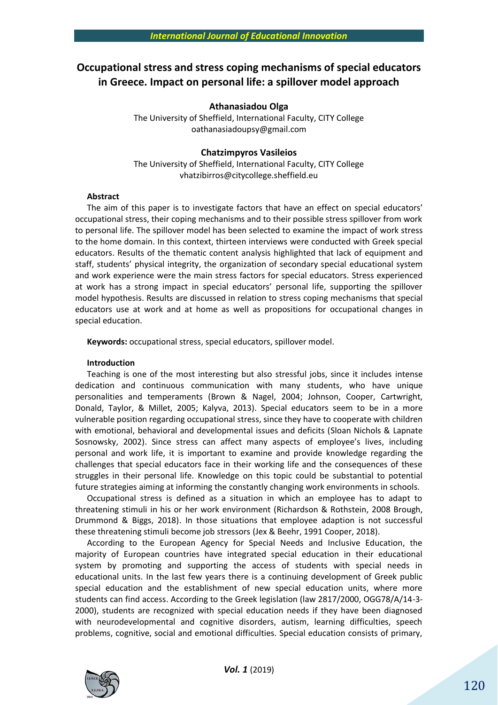# **Occupational stress and stress coping mechanisms of special educators in Greece. Impact on personal life: a spillover model approach**

## **Athanasiadou Olga**

The University of Sheffield, International Faculty, CITY College [oathanasiadoupsy@gmail.com](mailto:oathanasiadoupsy@gmail.com)

## **Chatzimpyros Vasileios**

The University of Sheffield, International Faculty, CITY College vhatzibirros@citycollege.sheffield.eu

## **Abstract**

The aim of this paper is to investigate factors that have an effect on special educators' occupational stress, their coping mechanisms and to their possible stress spillover from work to personal life. The spillover model has been selected to examine the impact of work stress to the home domain. In this context, thirteen interviews were conducted with Greek special educators. Results of the thematic content analysis highlighted that lack of equipment and staff, students' physical integrity, the organization of secondary special educational system and work experience were the main stress factors for special educators. Stress experienced at work has a strong impact in special educators' personal life, supporting the spillover model hypothesis. Results are discussed in relation to stress coping mechanisms that special educators use at work and at home as well as propositions for occupational changes in special education.

**Keywords:** occupational stress, special educators, spillover model.

#### **Introduction**

Teaching is one of the most interesting but also stressful jobs, since it includes intense dedication and continuous communication with many students, who have unique personalities and temperaments (Brown & Nagel, 2004; Johnson, Cooper, Cartwright, Donald, Taylor, & Millet, 2005; Kalyva, 2013). Special educators seem to be in a more vulnerable position regarding occupational stress, since they have to cooperate with children with emotional, behavioral and developmental issues and deficits (Sloan Nichols & Lapnate Sosnowsky, 2002). Since stress can affect many aspects of employee's lives, including personal and work life, it is important to examine and provide knowledge regarding the challenges that special educators face in their working life and the consequences of these struggles in their personal life. Knowledge on this topic could be substantial to potential future strategies aiming at informing the constantly changing work environments in schools.

Occupational stress is defined as a situation in which an employee has to adapt to threatening stimuli in his or her work environment (Richardson & Rothstein, 2008 Brough, Drummond & Biggs, 2018). In those situations that employee adaption is not successful these threatening stimuli become job stressors (Jex & Beehr, 1991 Cooper, 2018).

According to the European Agency for Special Needs and Inclusive Education, the majority of European countries have integrated special education in their educational system by promoting and supporting the access of students with special needs in educational units. In the last few years there is a continuing development of Greek public special education and the establishment of new special education units, where more students can find access. According to the Greek legislation (law 2817/2000, OGG78/A/14-3- 2000), students are recognized with special education needs if they have been diagnosed with neurodevelopmental and cognitive disorders, autism, learning difficulties, speech problems, cognitive, social and emotional difficulties. Special education consists of primary,

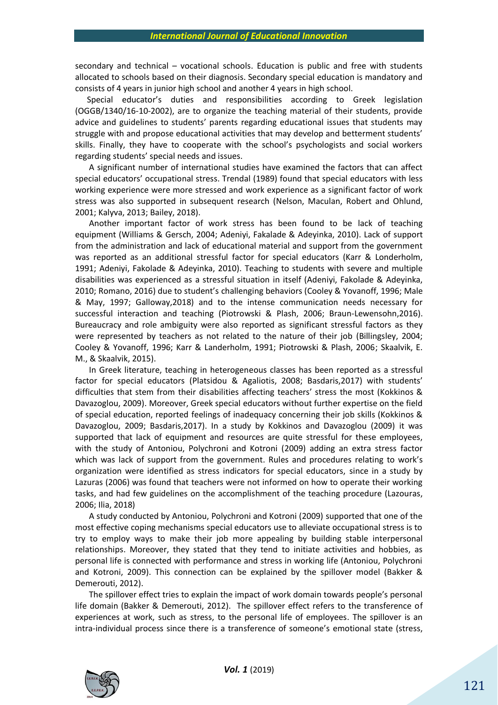secondary and technical – vocational schools. Education is public and free with students allocated to schools based on their diagnosis. Secondary special education is mandatory and consists of 4 years in junior high school and another 4 years in high school.

Special educator's duties and responsibilities according to Greek legislation (OGGB/1340/16-10-2002), are to organize the teaching material of their students, provide advice and guidelines to students' parents regarding educational issues that students may struggle with and propose educational activities that may develop and betterment students' skills. Finally, they have to cooperate with the school's psychologists and social workers regarding students' special needs and issues.

A significant number of international studies have examined the factors that can affect special educators' occupational stress. Trendal (1989) found that special educators with less working experience were more stressed and work experience as a significant factor of work stress was also supported in subsequent research (Nelson, Maculan, Robert and Ohlund, 2001; Kalyva, 2013; Bailey, 2018).

Another important factor of work stress has been found to be lack of teaching equipment (Williams & Gersch, 2004; Adeniyi, Fakalade & Adeyinka, 2010). Lack of support from the administration and lack of educational material and support from the government was reported as an additional stressful factor for special educators (Karr & Londerholm, 1991; Adeniyi, Fakolade & Adeyinka, 2010). Teaching to students with severe and multiple disabilities was experienced as a stressful situation in itself (Adeniyi, Fakolade & Adeyinka, 2010; Romano, 2016) due to student's challenging behaviors (Cooley & Yovanoff, 1996; Male & May, 1997; Galloway,2018) and to the intense communication needs necessary for successful interaction and teaching (Piotrowski & Plash, 2006; Braun-Lewensohn,2016). Bureaucracy and role ambiguity were also reported as significant stressful factors as they were represented by teachers as not related to the nature of their job (Billingsley, 2004; Cooley & Yovanoff, 1996; Karr & Landerholm, 1991; Piotrowski & Plash, 2006; Skaalvik, E. M., & Skaalvik, 2015).

In Greek literature, teaching in heterogeneous classes has been reported as a stressful factor for special educators (Platsidou & Agaliotis, 2008; Basdaris,2017) with students' difficulties that stem from their disabilities affecting teachers' stress the most (Kokkinos & Davazoglou, 2009). Moreover, Greek special educators without further expertise on the field of special education, reported feelings of inadequacy concerning their job skills (Kokkinos & Davazoglou, 2009; Basdaris,2017). In a study by Kokkinos and Davazoglou (2009) it was supported that lack of equipment and resources are quite stressful for these employees, with the study of Antoniou, Polychroni and Kotroni (2009) adding an extra stress factor which was lack of support from the government. Rules and procedures relating to work's organization were identified as stress indicators for special educators, since in a study by Lazuras (2006) was found that teachers were not informed on how to operate their working tasks, and had few guidelines on the accomplishment of the teaching procedure (Lazouras, 2006; Ilia, 2018)

A study conducted by Antoniou, Polychroni and Kotroni (2009) supported that one of the most effective coping mechanisms special educators use to alleviate occupational stress is to try to employ ways to make their job more appealing by building stable interpersonal relationships. Moreover, they stated that they tend to initiate activities and hobbies, as personal life is connected with performance and stress in working life (Antoniou, Polychroni and Kotroni, 2009). This connection can be explained by the spillover model (Bakker & Demerouti, 2012).

The spillover effect tries to explain the impact of work domain towards people's personal life domain (Bakker & Demerouti, 2012). The spillover effect refers to the transference of experiences at work, such as stress, to the personal life of employees. The spillover is an intra-individual process since there is a transference of someone's emotional state (stress,

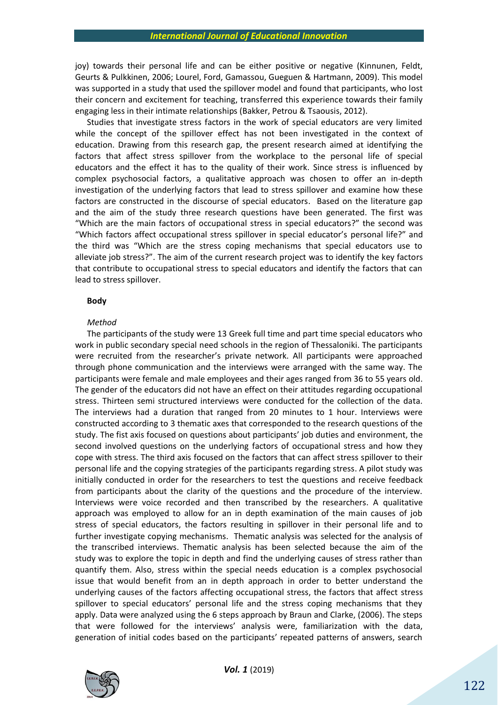joy) towards their personal life and can be either positive or negative (Kinnunen, Feldt, Geurts & Pulkkinen, 2006; Lourel, Ford, Gamassou, Gueguen & Hartmann, 2009). This model was supported in a study that used the spillover model and found that participants, who lost their concern and excitement for teaching, transferred this experience towards their family engaging less in their intimate relationships (Bakker, Petrou & Tsaousis, 2012).

Studies that investigate stress factors in the work of special educators are very limited while the concept of the spillover effect has not been investigated in the context of education. Drawing from this research gap, the present research aimed at identifying the factors that affect stress spillover from the workplace to the personal life of special educators and the effect it has to the quality of their work. Since stress is influenced by complex psychosocial factors, a qualitative approach was chosen to offer an in-depth investigation of the underlying factors that lead to stress spillover and examine how these factors are constructed in the discourse of special educators. Based on the literature gap and the aim of the study three research questions have been generated. The first was "Which are the main factors of occupational stress in special educators?" the second was "Which factors affect occupational stress spillover in special educator's personal life?" and the third was "Which are the stress coping mechanisms that special educators use to alleviate job stress?". The aim of the current research project was to identify the key factors that contribute to occupational stress to special educators and identify the factors that can lead to stress spillover.

## **Body**

#### *Method*

The participants of the study were 13 Greek full time and part time special educators who work in public secondary special need schools in the region of Thessaloniki. The participants were recruited from the researcher's private network. All participants were approached through phone communication and the interviews were arranged with the same way. The participants were female and male employees and their ages ranged from 36 to 55 years old. The gender of the educators did not have an effect on their attitudes regarding occupational stress. Thirteen semi structured interviews were conducted for the collection of the data. The interviews had a duration that ranged from 20 minutes to 1 hour. Interviews were constructed according to 3 thematic axes that corresponded to the research questions of the study. The fist axis focused on questions about participants' job duties and environment, the second involved questions on the underlying factors of occupational stress and how they cope with stress. The third axis focused on the factors that can affect stress spillover to their personal life and the copying strategies of the participants regarding stress. A pilot study was initially conducted in order for the researchers to test the questions and receive feedback from participants about the clarity of the questions and the procedure of the interview. Interviews were voice recorded and then transcribed by the researchers. A qualitative approach was employed to allow for an in depth examination of the main causes of job stress of special educators, the factors resulting in spillover in their personal life and to further investigate copying mechanisms. Thematic analysis was selected for the analysis of the transcribed interviews. Thematic analysis has been selected because the aim of the study was to explore the topic in depth and find the underlying causes of stress rather than quantify them. Also, stress within the special needs education is a complex psychosocial issue that would benefit from an in depth approach in order to better understand the underlying causes of the factors affecting occupational stress, the factors that affect stress spillover to special educators' personal life and the stress coping mechanisms that they apply. Data were analyzed using the 6 steps approach by Braun and Clarke, (2006). The steps that were followed for the interviews' analysis were, familiarization with the data, generation of initial codes based on the participants' repeated patterns of answers, search

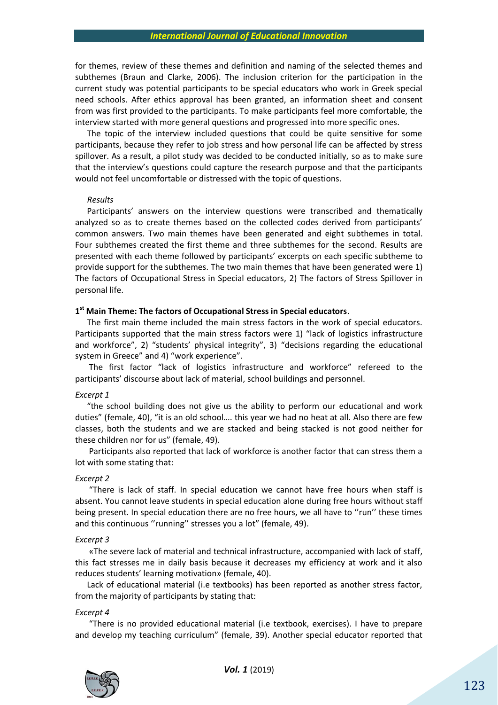for themes, review of these themes and definition and naming of the selected themes and subthemes (Braun and Clarke, 2006). The inclusion criterion for the participation in the current study was potential participants to be special educators who work in Greek special need schools. After ethics approval has been granted, an information sheet and consent from was first provided to the participants. To make participants feel more comfortable, the interview started with more general questions and progressed into more specific ones.

The topic of the interview included questions that could be quite sensitive for some participants, because they refer to job stress and how personal life can be affected by stress spillover. As a result, a pilot study was decided to be conducted initially, so as to make sure that the interview's questions could capture the research purpose and that the participants would not feel uncomfortable or distressed with the topic of questions.

### *Results*

Participants' answers on the interview questions were transcribed and thematically analyzed so as to create themes based on the collected codes derived from participants' common answers. Two main themes have been generated and eight subthemes in total. Four subthemes created the first theme and three subthemes for the second. Results are presented with each theme followed by participants' excerpts on each specific subtheme to provide support for the subthemes. The two main themes that have been generated were 1) The factors of Occupational Stress in Special educators, 2) The factors of Stress Spillover in personal life.

## **1 st Main Theme: The factors of Occupational Stress in Special educators**.

The first main theme included the main stress factors in the work of special educators. Participants supported that the main stress factors were 1) "lack of logistics infrastructure and workforce", 2) "students' physical integrity", 3) "decisions regarding the educational system in Greece" and 4) "work experience".

The first factor "lack of logistics infrastructure and workforce" refereed to the participants' discourse about lack of material, school buildings and personnel.

### *Excerpt 1*

"the school building does not give us the ability to perform our educational and work duties" (female, 40), "it is an old school…. this year we had no heat at all. Also there are few classes, both the students and we are stacked and being stacked is not good neither for these children nor for us" (female, 49).

Participants also reported that lack of workforce is another factor that can stress them a lot with some stating that:

#### *Excerpt 2*

"There is lack of staff. In special education we cannot have free hours when staff is absent. You cannot leave students in special education alone during free hours without staff being present. In special education there are no free hours, we all have to "run" these times and this continuous ''running'' stresses you a lot" (female, 49).

#### *Excerpt 3*

«The severe lack of material and technical infrastructure, accompanied with lack of staff, this fact stresses me in daily basis because it decreases my efficiency at work and it also reduces students' learning motivation» (female, 40).

Lack of educational material (i.e textbooks) has been reported as another stress factor, from the majority of participants by stating that:

#### *Excerpt 4*

"There is no provided educational material (i.e textbook, exercises). I have to prepare and develop my teaching curriculum" (female, 39). Another special educator reported that

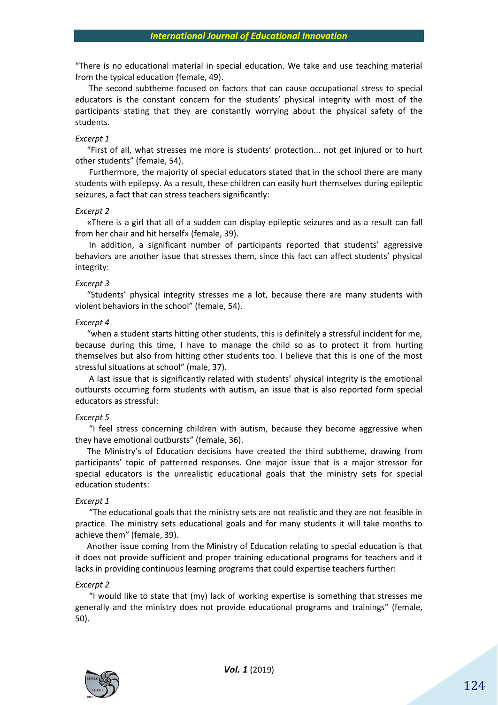"There is no educational material in special education. We take and use teaching material from the typical education (female, 49).

The second subtheme focused on factors that can cause occupational stress to special educators is the constant concern for the students' physical integrity with most of the participants stating that they are constantly worrying about the physical safety of the students.

#### *Excerpt 1*

"First of all, what stresses me more is students' protection... not get injured or to hurt other students" (female, 54).

Furthermore, the majority of special educators stated that in the school there are many students with epilepsy. As a result, these children can easily hurt themselves during epileptic seizures, a fact that can stress teachers significantly:

#### *Excerpt 2*

«There is a girl that all of a sudden can display epileptic seizures and as a result can fall from her chair and hit herself» (female, 39).

In addition, a significant number of participants reported that students' aggressive behaviors are another issue that stresses them, since this fact can affect students' physical integrity:

#### *Excerpt 3*

"Students' physical integrity stresses me a lot, because there are many students with violent behaviors in the school" (female, 54).

#### *Excerpt 4*

"when a student starts hitting other students, this is definitely a stressful incident for me, because during this time, I have to manage the child so as to protect it from hurting themselves but also from hitting other students too. I believe that this is one of the most stressful situations at school" (male, 37).

A last issue that is significantly related with students' physical integrity is the emotional outbursts occurring form students with autism, an issue that is also reported form special educators as stressful:

### *Excerpt 5*

"I feel stress concerning children with autism, because they become aggressive when they have emotional outbursts" (female, 36).

The Ministry's of Education decisions have created the third subtheme, drawing from participants' topic of patterned responses. One major issue that is a major stressor for special educators is the unrealistic educational goals that the ministry sets for special education students:

#### *Excerpt 1*

"The educational goals that the ministry sets are not realistic and they are not feasible in practice. The ministry sets educational goals and for many students it will take months to achieve them" (female, 39).

Another issue coming from the Ministry of Education relating to special education is that it does not provide sufficient and proper training educational programs for teachers and it lacks in providing continuous learning programs that could expertise teachers further:

#### *Excerpt 2*

"I would like to state that (my) lack of working expertise is something that stresses me generally and the ministry does not provide educational programs and trainings" (female, 50).

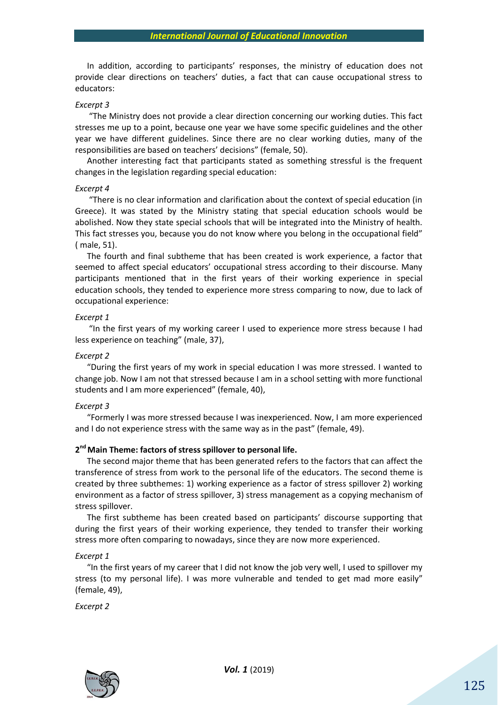In addition, according to participants' responses, the ministry of education does not provide clear directions on teachers' duties, a fact that can cause occupational stress to educators:

#### *Excerpt 3*

"The Ministry does not provide a clear direction concerning our working duties. This fact stresses me up to a point, because one year we have some specific guidelines and the other year we have different guidelines. Since there are no clear working duties, many of the responsibilities are based on teachers' decisions" (female, 50).

Another interesting fact that participants stated as something stressful is the frequent changes in the legislation regarding special education:

#### *Excerpt 4*

"There is no clear information and clarification about the context of special education (in Greece). It was stated by the Ministry stating that special education schools would be abolished. Now they state special schools that will be integrated into the Ministry of health. Τhis fact stresses you, because you do not know where you belong in the occupational field" ( male, 51).

The fourth and final subtheme that has been created is work experience, a factor that seemed to affect special educators' occupational stress according to their discourse. Many participants mentioned that in the first years of their working experience in special education schools, they tended to experience more stress comparing to now, due to lack of occupational experience:

## *Excerpt 1*

"In the first years of my working career I used to experience more stress because I had less experience on teaching" (male, 37),

#### *Excerpt 2*

"During the first years of my work in special education I was more stressed. I wanted to change job. Now I am not that stressed because I am in a school setting with more functional students and I am more experienced" (female, 40),

#### *Excerpt 3*

"Formerly I was more stressed because I was inexperienced. Now, I am more experienced and I do not experience stress with the same way as in the past" (female, 49).

## **2 nd Main Theme: factors of stress spillover to personal life.**

The second major theme that has been generated refers to the factors that can affect the transference of stress from work to the personal life of the educators. The second theme is created by three subthemes: 1) working experience as a factor of stress spillover 2) working environment as a factor of stress spillover, 3) stress management as a copying mechanism of stress spillover.

The first subtheme has been created based on participants' discourse supporting that during the first years of their working experience, they tended to transfer their working stress more often comparing to nowadays, since they are now more experienced.

#### *Excerpt 1*

"In the first years of my career that I did not know the job very well, I used to spillover my stress (to my personal life). I was more vulnerable and tended to get mad more easily" (female, 49),

*Excerpt 2*

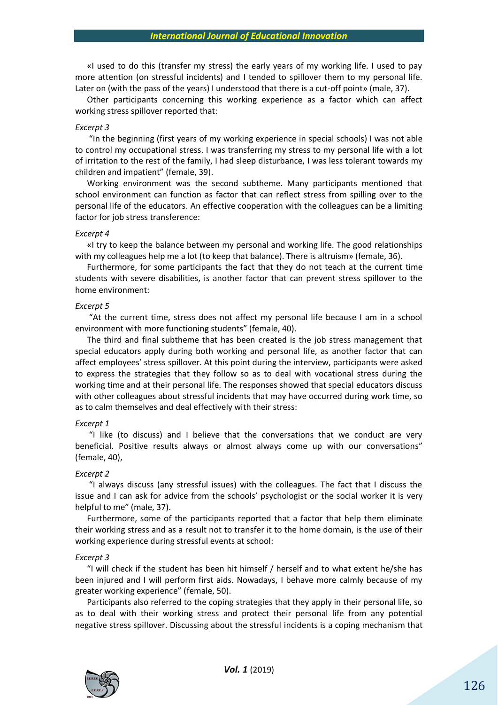«I used to do this (transfer my stress) the early years of my working life. I used to pay more attention (on stressful incidents) and I tended to spillover them to my personal life. Later on (with the pass of the years) I understood that there is a cut-off point» (male, 37).

Other participants concerning this working experience as a factor which can affect working stress spillover reported that:

#### *Excerpt 3*

"In the beginning (first years of my working experience in special schools) I was not able to control my occupational stress. I was transferring my stress to my personal life with a lot of irritation to the rest of the family, I had sleep disturbance, I was less tolerant towards my children and impatient" (female, 39).

Working environment was the second subtheme. Many participants mentioned that school environment can function as factor that can reflect stress from spilling over to the personal life of the educators. An effective cooperation with the colleagues can be a limiting factor for job stress transference:

## *Excerpt 4*

«I try to keep the balance between my personal and working life. The good relationships with my colleagues help me a lot (to keep that balance). There is altruism» (female, 36).

Furthermore, for some participants the fact that they do not teach at the current time students with severe disabilities, is another factor that can prevent stress spillover to the home environment:

## *Excerpt 5*

"At the current time, stress does not affect my personal life because I am in a school environment with more functioning students" (female, 40).

The third and final subtheme that has been created is the job stress management that special educators apply during both working and personal life, as another factor that can affect employees' stress spillover. At this point during the interview, participants were asked to express the strategies that they follow so as to deal with vocational stress during the working time and at their personal life. The responses showed that special educators discuss with other colleagues about stressful incidents that may have occurred during work time, so as to calm themselves and deal effectively with their stress:

#### *Excerpt 1*

"I like (to discuss) and I believe that the conversations that we conduct are very beneficial. Positive results always or almost always come up with our conversations" (female, 40),

#### *Excerpt 2*

"I always discuss (any stressful issues) with the colleagues. The fact that I discuss the issue and I can ask for advice from the schools' psychologist or the social worker it is very helpful to me" (male, 37).

Furthermore, some of the participants reported that a factor that help them eliminate their working stress and as a result not to transfer it to the home domain, is the use of their working experience during stressful events at school:

#### *Excerpt 3*

"I will check if the student has been hit himself / herself and to what extent he/she has been injured and I will perform first aids. Nowadays, I behave more calmly because of my greater working experience" (female, 50).

Participants also referred to the coping strategies that they apply in their personal life, so as to deal with their working stress and protect their personal life from any potential negative stress spillover. Discussing about the stressful incidents is a coping mechanism that

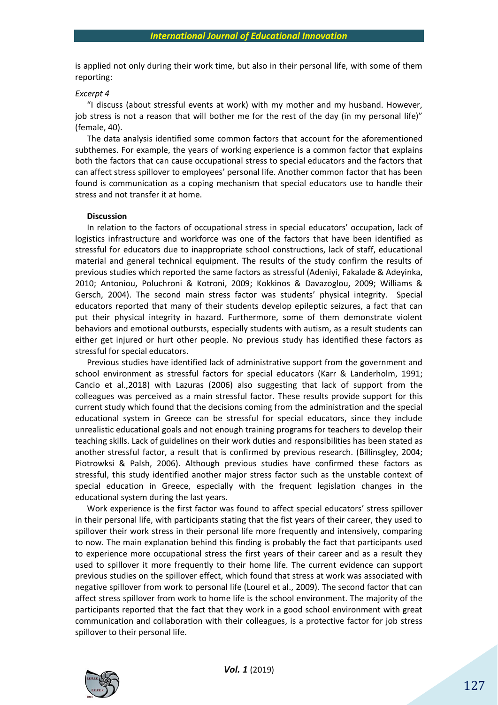is applied not only during their work time, but also in their personal life, with some of them reporting:

#### *Excerpt 4*

"I discuss (about stressful events at work) with my mother and my husband. However, job stress is not a reason that will bother me for the rest of the day (in my personal life)" (female, 40).

Τhe data analysis identified some common factors that account for the aforementioned subthemes. For example, the years of working experience is a common factor that explains both the factors that can cause occupational stress to special educators and the factors that can affect stress spillover to employees' personal life. Another common factor that has been found is communication as a coping mechanism that special educators use to handle their stress and not transfer it at home.

### **Discussion**

In relation to the factors of occupational stress in special educators' occupation, lack of logistics infrastructure and workforce was one of the factors that have been identified as stressful for educators due to inappropriate school constructions, lack of staff, educational material and general technical equipment. The results of the study confirm the results of previous studies which reported the same factors as stressful (Adeniyi, Fakalade & Adeyinka, 2010; Antoniou, Poluchroni & Kotroni, 2009; Kokkinos & Davazoglou, 2009; Williams & Gersch, 2004). The second main stress factor was students' physical integrity. Special educators reported that many of their students develop epileptic seizures, a fact that can put their physical integrity in hazard. Furthermore, some of them demonstrate violent behaviors and emotional outbursts, especially students with autism, as a result students can either get injured or hurt other people. No previous study has identified these factors as stressful for special educators.

Previous studies have identified lack of administrative support from the government and school environment as stressful factors for special educators (Karr & Landerholm, 1991; Cancio et al.,2018) with Lazuras (2006) also suggesting that lack of support from the colleagues was perceived as a main stressful factor. These results provide support for this current study which found that the decisions coming from the administration and the special educational system in Greece can be stressful for special educators, since they include unrealistic educational goals and not enough training programs for teachers to develop their teaching skills. Lack of guidelines on their work duties and responsibilities has been stated as another stressful factor, a result that is confirmed by previous research. (Billinsgley, 2004; Piotrowksi & Palsh, 2006). Although previous studies have confirmed these factors as stressful, this study identified another major stress factor such as the unstable context of special education in Greece, especially with the frequent legislation changes in the educational system during the last years.

Work experience is the first factor was found to affect special educators' stress spillover in their personal life, with participants stating that the fist years of their career, they used to spillover their work stress in their personal life more frequently and intensively, comparing to now. The main explanation behind this finding is probably the fact that participants used to experience more occupational stress the first years of their career and as a result they used to spillover it more frequently to their home life. The current evidence can support previous studies on the spillover effect, which found that stress at work was associated with negative spillover from work to personal life (Lourel et al., 2009). The second factor that can affect stress spillover from work to home life is the school environment. The majority of the participants reported that the fact that they work in a good school environment with great communication and collaboration with their colleagues, is a protective factor for job stress spillover to their personal life.

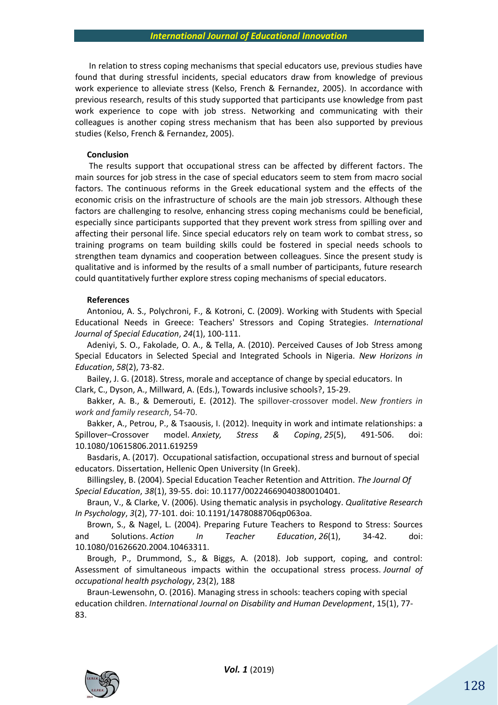In relation to stress coping mechanisms that special educators use, previous studies have found that during stressful incidents, special educators draw from knowledge of previous work experience to alleviate stress (Kelso, French & Fernandez, 2005). In accordance with previous research, results of this study supported that participants use knowledge from past work experience to cope with job stress. Networking and communicating with their colleagues is another coping stress mechanism that has been also supported by previous studies (Kelso, French & Fernandez, 2005).

#### **Conclusion**

The results support that occupational stress can be affected by different factors. The main sources for job stress in the case of special educators seem to stem from macro social factors. The continuous reforms in the Greek educational system and the effects of the economic crisis on the infrastructure of schools are the main job stressors. Although these factors are challenging to resolve, enhancing stress coping mechanisms could be beneficial, especially since participants supported that they prevent work stress from spilling over and affecting their personal life. Since special educators rely on team work to combat stress, so training programs on team building skills could be fostered in special needs schools to strengthen team dynamics and cooperation between colleagues. Since the present study is qualitative and is informed by the results of a small number of participants, future research could quantitatively further explore stress coping mechanisms of special educators.

#### **References**

Antoniou, A. S., Polychroni, F., & Kotroni, C. (2009). Working with Students with Special Educational Needs in Greece: Teachers' Stressors and Coping Strategies. *International Journal of Special Education*, *24*(1), 100-111.

Adeniyi, S. O., Fakolade, O. A., & Tella, A. (2010). Perceived Causes of Job Stress among Special Educators in Selected Special and Integrated Schools in Nigeria. *New Horizons in Education*, *58*(2), 73-82.

Bailey, J. G. (2018). Stress, morale and acceptance of change by special educators. In Clark, C., Dyson, A., Millward, A. (Eds.), Towards inclusive schools?, 15-29.

Bakker, A. B., & Demerouti, E. (2012). The spillover-crossover model. *New frontiers in work and family research*, 54-70.

Bakker, A., Petrou, P., & Tsaousis, I. (2012). Inequity in work and intimate relationships: a Spillover–Crossover model. *Anxiety, Stress & Coping*, *25*(5), 491-506. doi: 10.1080/10615806.2011.619259

Basdaris, Α. (2017). Occupational satisfaction, occupational stress and burnout of special educators. Dissertation, Hellenic Open University (In Greek).

Billingsley, B. (2004). Special Education Teacher Retention and Attrition. *The Journal Of Special Education*, *38*(1), 39-55. doi: 10.1177/00224669040380010401.

Braun, V., & Clarke, V. (2006). Using thematic analysis in psychology. *Qualitative Research In Psychology*, *3*(2), 77-101. doi: 10.1191/1478088706qp063oa.

Brown, S., & Nagel, L. (2004). Preparing Future Teachers to Respond to Stress: Sources and Solutions. *Action In Teacher Education*, *26*(1), 34-42. doi: 10.1080/01626620.2004.10463311.

Brough, P., Drummond, S., & Biggs, A. (2018). Job support, coping, and control: Assessment of simultaneous impacts within the occupational stress process. *Journal of occupational health psychology*, 23(2), 188

Braun-Lewensohn, O. (2016). Managing stress in schools: teachers coping with special education children. *International Journal on Disability and Human Development*, 15(1), 77- 83.

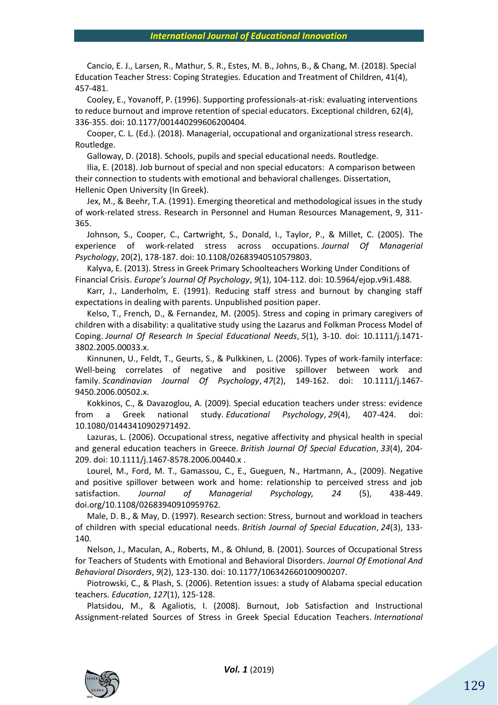Cancio, E. J., Larsen, R., Mathur, S. R., Estes, M. B., Johns, B., & Chang, M. (2018). Special Education Teacher Stress: Coping Strategies. Education and Treatment of Children, 41(4), 457-481.

Cooley, E., Yovanoff, P. (1996). Supporting professionals-at-risk: evaluating interventions to reduce burnout and improve retention of special educators. Exceptional children, 62(4), 336-355. doi: 10.1177/001440299606200404.

Cooper, C. L. (Ed.). (2018). Managerial, occupational and organizational stress research. Routledge.

Galloway, D. (2018). Schools, pupils and special educational needs. Routledge.

Ilia, Ε. (2018). Job burnout of special and non special educators: A comparison between their connection to students with emotional and behavioral challenges. Dissertation, Hellenic Open University (In Greek).

Jex, M., & Beehr, T.A. (1991). Emerging theoretical and methodological issues in the study of work-related stress. Research in Personnel and Human Resources Management, 9, 311- 365.

Johnson, S., Cooper, C., Cartwright, S., Donald, I., Taylor, P., & Millet, C. (2005). The experience of work‐related stress across occupations. *Journal Of Managerial Psychology*, 20(2), 178-187. doi: 10.1108/02683940510579803.

Kalyva, E. (2013). Stress in Greek Primary Schoolteachers Working Under Conditions of Financial Crisis. *Europe's Journal Of Psychology*, *9*(1), 104-112. doi: 10.5964/ejop.v9i1.488.

Karr, J., Landerholm, E. (1991). Reducing staff stress and burnout by changing staff expectations in dealing with parents. Unpublished position paper.

Kelso, T., French, D., & Fernandez, M. (2005). Stress and coping in primary caregivers of children with a disability: a qualitative study using the Lazarus and Folkman Process Model of Coping. *Journal Of Research In Special Educational Needs*, *5*(1), 3-10. doi: 10.1111/j.1471- 3802.2005.00033.x.

Kinnunen, U., Feldt, T., Geurts, S., & Pulkkinen, L. (2006). Types of work-family interface: Well-being correlates of negative and positive spillover between work and family. *Scandinavian Journal Of Psychology*, *47*(2), 149-162. doi: 10.1111/j.1467- 9450.2006.00502.x.

Kokkinos, C., & Davazoglou, A. (2009). Special education teachers under stress: evidence from a Greek national study. *Educational Psychology*, *29*(4), 407-424. doi: 10.1080/01443410902971492.

Lazuras, L. (2006). Occupational stress, negative affectivity and physical health in special and general education teachers in Greece. *British Journal Of Special Education*, *33*(4), 204- 209. doi: 10.1111/j.1467-8578.2006.00440.x .

Lourel, M., Ford, M. T., Gamassou, C., E., Gueguen, N., Hartmann, A., (2009). Negative and positive spillover between work and home: relationship to perceived stress and job satisfaction. *Journal of Managerial Psychology, 24* (5), 438-449. doi.org/10.1108/02683940910959762.

Male, D. B., & May, D. (1997). Research section: Stress, burnout and workload in teachers of children with special educational needs. *British Journal of Special Education*, *24*(3), 133- 140.

Nelson, J., Maculan, A., Roberts, M., & Ohlund, B. (2001). Sources of Occupational Stress for Teachers of Students with Emotional and Behavioral Disorders. *Journal Of Emotional And Behavioral Disorders*, *9*(2), 123-130. doi: 10.1177/106342660100900207.

Piotrowski, C., & Plash, S. (2006). Retention issues: a study of Alabama special education teachers. *Education*, *127*(1), 125-128.

Platsidou, M., & Agaliotis, I. (2008). Burnout, Job Satisfaction and Instructional Assignment‐related Sources of Stress in Greek Special Education Teachers. *International*